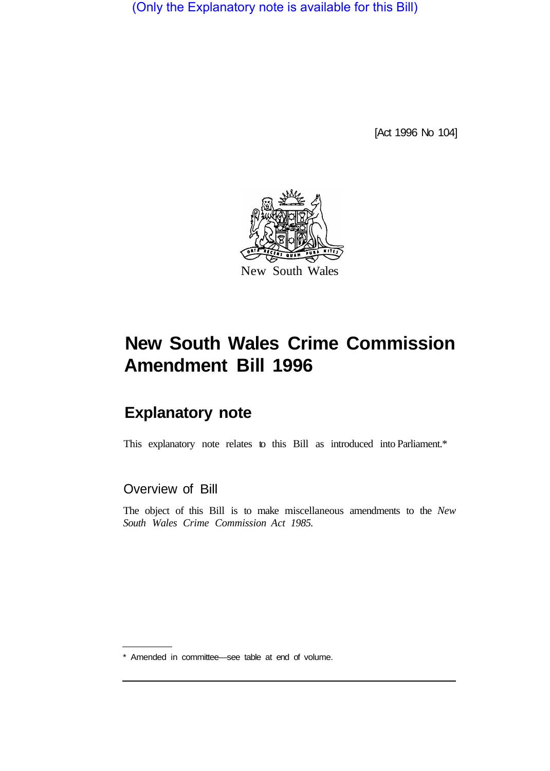(Only the Explanatory note is available for this Bill)

[Act 1996 No 104]



# **New South Wales Crime Commission Amendment Bill 1996**

# **Explanatory note**

This explanatory note relates to this Bill as introduced into Parliament.\*

Overview of Bill

The object of this Bill is to make miscellaneous amendments to the *New South Wales Crime Commission Act 1985.* 

<sup>\*</sup> Amended in committee—see table at end of volume.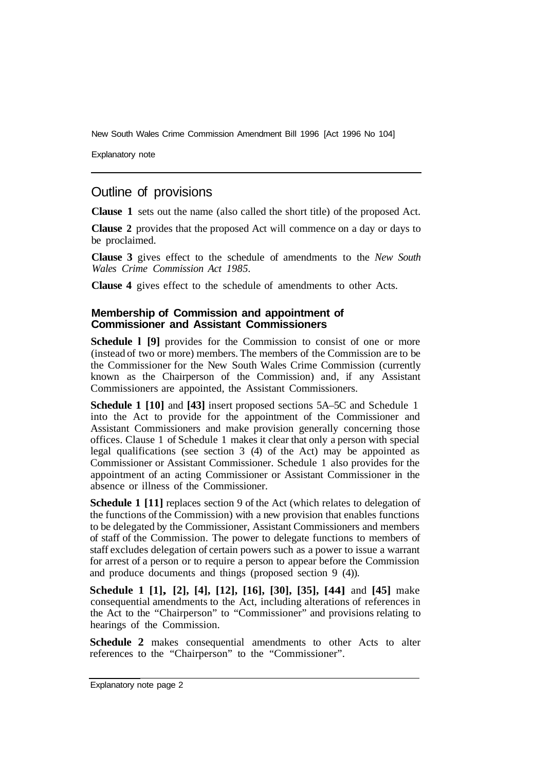Explanatory note

# Outline of provisions

**Clause 1** sets out the name (also called the short title) of the proposed Act.

**Clause 2** provides that the proposed Act will commence on a day or days to be proclaimed.

**Clause 3** gives effect to the schedule of amendments to the *New South Wales Crime Commission Act 1985.* 

**Clause 4** gives effect to the schedule of amendments to other Acts.

#### **Membership of Commission and appointment of Commissioner and Assistant Commissioners**

**Schedule 1 [9]** provides for the Commission to consist of one or more (instead of two or more) members. The members of the Commission are to be the Commissioner for the New South Wales Crime Commission (currently known as the Chairperson of the Commission) and, if any Assistant Commissioners are appointed, the Assistant Commissioners.

**Schedule 1 [10]** and **[43]** insert proposed sections 5A–5C and Schedule 1 into the Act to provide for the appointment of the Commissioner and Assistant Commissioners and make provision generally concerning those offices. Clause 1 of Schedule 1 makes it clear that only a person with special legal qualifications (see section 3 (4) of the Act) may be appointed as Commissioner or Assistant Commissioner. Schedule 1 also provides for the appointment of an acting Commissioner or Assistant Commissioner in the absence or illness of the Commissioner.

**Schedule 1 [11]** replaces section 9 of the Act (which relates to delegation of the functions of the Commission) with a new provision that enables functions to be delegated by the Commissioner, Assistant Commissioners and members of staff of the Commission. The power to delegate functions to members of staff excludes delegation of certain powers such as a power to issue a warrant for arrest of a person or to require a person to appear before the Commission and produce documents and things (proposed section 9 (4)).

**Schedule 1 [1], [2], [4], [12], [16], [30], [35], [44]** and **[45]** make consequential amendments to the Act, including alterations of references in the Act to the "Chairperson" to "Commissioner" and provisions relating to hearings of the Commission.

**Schedule 2** makes consequential amendments to other Acts to alter references to the "Chairperson" to the "Commissioner".

Explanatory note page 2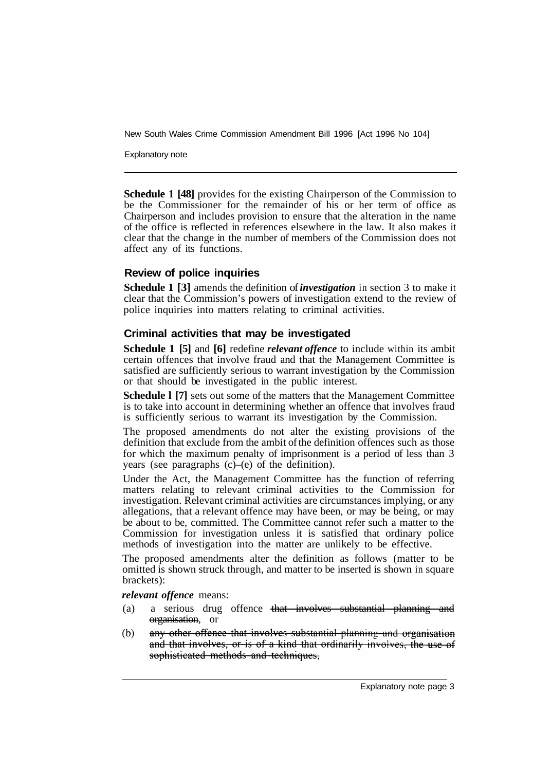Explanatory note

**Schedule 1 [48]** provides for the existing Chairperson of the Commission to be the Commissioner for the remainder of his or her term of office as Chairperson and includes provision to ensure that the alteration in the name of the office is reflected in references elsewhere in the law. It also makes it clear that the change in the number of members of the Commission does not affect any of its functions.

#### **Review of police inquiries**

**Schedule 1 [3]** amends the definition of *investigation* in section 3 to make it clear that the Commission's powers of investigation extend to the review of police inquiries into matters relating to criminal activities.

#### **Criminal activities that may be investigated**

**Schedule 1 [5]** and **[6]** redefine *relevant offence* to include within its ambit certain offences that involve fraud and that the Management Committee is satisfied are sufficiently serious to warrant investigation by the Commission or that should be investigated in the public interest.

**Schedule l [7]** sets out some of the matters that the Management Committee is to take into account in determining whether an offence that involves fraud is sufficiently serious to warrant its investigation by the Commission.

The proposed amendments do not alter the existing provisions of the definition that exclude from the ambit of the definition offences such as those for which the maximum penalty of imprisonment is a period of less than 3 years (see paragraphs  $(c)$ – $(e)$  of the definition).

Under the Act, the Management Committee has the function of referring matters relating to relevant criminal activities to the Commission for investigation. Relevant criminal activities are circumstances implying, or any allegations, that a relevant offence may have been, or may be being, or may be about to be, committed. The Committee cannot refer such a matter to the Commission for investigation unless it is satisfied that ordinary police methods of investigation into the matter are unlikely to be effective.

The proposed amendments alter the definition as follows (matter to be omitted is shown struck through, and matter to be inserted is shown in square brackets):

*relevant offence* means:

- (a) a serious drug offence that involves substantial planning and organisation, or
- any other offence that involves substantial planning and organisation  $(b)$ and that involves, or is of a kind that ordinarily involves, the use of sophisticated methods and techniques.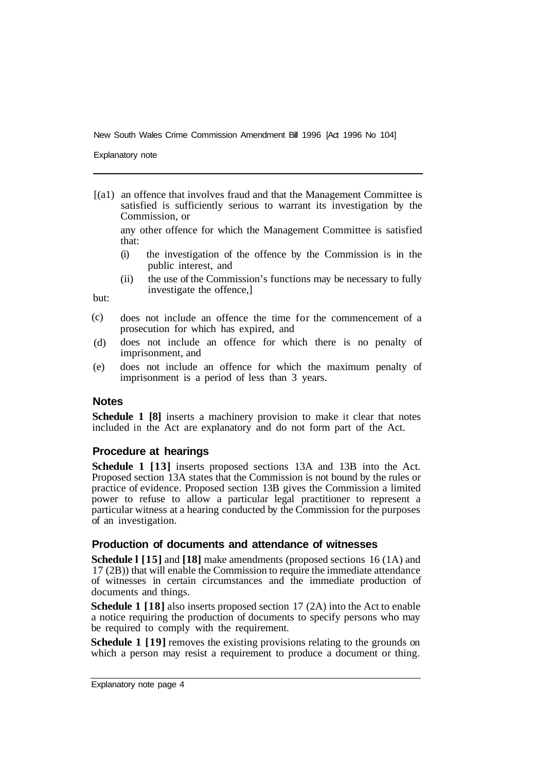Explanatory note

[(a1) an offence that involves fraud and that the Management Committee is satisfied is sufficiently serious to warrant its investigation by the Commission, or

any other offence for which the Management Committee is satisfied that:

- (i) the investigation of the offence by the Commission is in the public interest, and
- (ii) the use of the Commission's functions may be necessary to fully investigate the offence,]

but:

- does not include an offence the time for the commencement of a prosecution for which has expired, and (c)
- does not include an offence for which there is no penalty of imprisonment, and (d)
- does not include an offence for which the maximum penalty of imprisonment is a period of less than 3 years. (e)

#### **Notes**

**Schedule 1 [8]** inserts a machinery provision to make it clear that notes included in the Act are explanatory and do not form part of the Act.

#### **Procedure at hearings**

**Schedule 1 [13]** inserts proposed sections 13A and 13B into the Act. Proposed section 13A states that the Commission is not bound by the rules or practice of evidence. Proposed section 13B gives the Commission a limited power to refuse to allow a particular legal practitioner to represent a particular witness at a hearing conducted by the Commission for the purposes of an investigation.

#### **Production of documents and attendance of witnesses**

**Schedule l [15]** and **[18]** make amendments (proposed sections 16 (1A) and 17 (2B)) that will enable the Commission to require the immediate attendance of witnesses in certain circumstances and the immediate production of documents and things.

**Schedule 1 [18]** also inserts proposed section 17 (2A) into the Act to enable a notice requiring the production of documents to specify persons who may be required to comply with the requirement.

**Schedule 1 [19]** removes the existing provisions relating to the grounds on which a person may resist a requirement to produce a document or thing.

Explanatory note page 4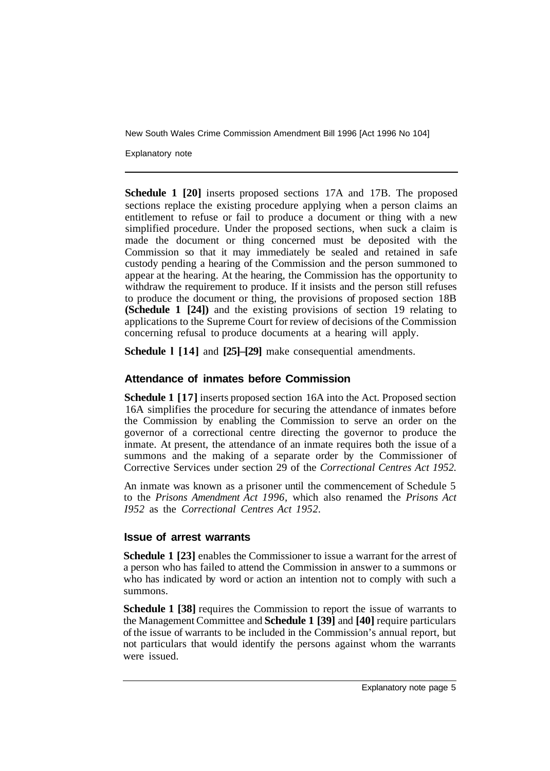Explanatory note

**Schedule 1 [20]** inserts proposed sections 17A and 17B. The proposed sections replace the existing procedure applying when a person claims an entitlement to refuse or fail to produce a document or thing with a new simplified procedure. Under the proposed sections, when suck a claim is made the document or thing concerned must be deposited with the Commission so that it may immediately be sealed and retained in safe custody pending a hearing of the Commission and the person summoned to appear at the hearing. At the hearing, the Commission has the opportunity to withdraw the requirement to produce. If it insists and the person still refuses to produce the document or thing, the provisions of proposed section 18B **(Schedule 1 [24])** and the existing provisions of section 19 relating to applications to the Supreme Court for review of decisions of the Commission concerning refusal to produce documents at a hearing will apply.

**Schedule l [14]** and **[25]–[29]** make consequential amendments.

#### **Attendance of inmates before Commission**

**Schedule 1 [17]** inserts proposed section 16A into the Act. Proposed section 16A simplifies the procedure for securing the attendance of inmates before the Commission by enabling the Commission to serve an order on the governor of a correctional centre directing the governor to produce the inmate. At present, the attendance of an inmate requires both the issue of a summons and the making of a separate order by the Commissioner of Corrective Services under section 29 of the *Correctional Centres Act 1952.* 

An inmate was known as a prisoner until the commencement of Schedule 5 to the *Prisons Amendment Act 1996,* which also renamed the *Prisons Act I952* as the *Correctional Centres Act 1952.* 

#### **Issue of arrest warrants**

**Schedule 1 [23]** enables the Commissioner to issue a warrant for the arrest of a person who has failed to attend the Commission in answer to a summons or who has indicated by word or action an intention not to comply with such a summons.

**Schedule 1 [38]** requires the Commission to report the issue of warrants to the Management Committee and **Schedule 1 [39]** and **[40]** require particulars of the issue of warrants to be included in the Commission's annual report, but not particulars that would identify the persons against whom the warrants were issued.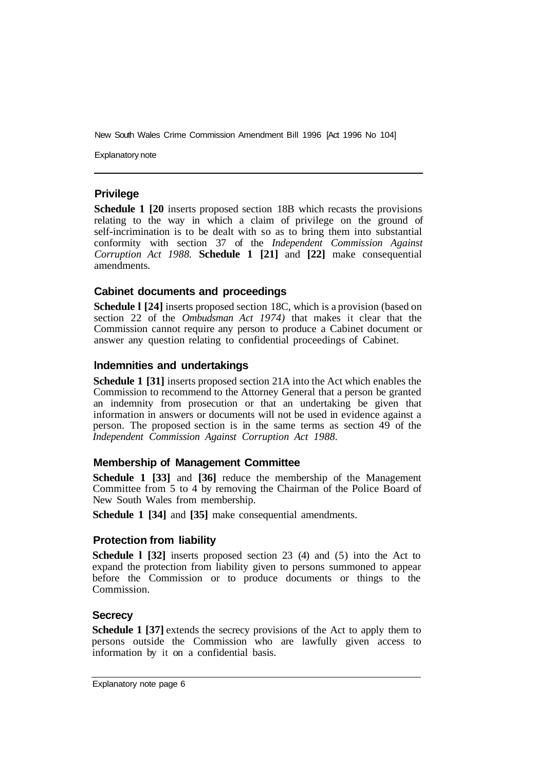Explanatory note

#### **Privilege**

**Schedule 1 [20** inserts proposed section 18B which recasts the provisions relating to the way in which a claim of privilege on the ground of self-incrimination is to be dealt with so as to bring them into substantial conformity with section 37 of the *Independent Commission Against Corruption Act 1988.* **Schedule 1 [21]** and **[22]** make consequential amendments.

#### **Cabinet documents and proceedings**

**Schedule l [24]** inserts proposed section 18C, which is a provision (based on section 22 of the *Ombudsman Act 1974)* that makes it clear that the Commission cannot require any person to produce a Cabinet document or answer any question relating to confidential proceedings of Cabinet.

#### **lndemnities and undertakings**

**Schedule 1 [31]** inserts proposed section 21A into the Act which enables the Commission to recommend to the Attorney General that a person be granted an indemnity from prosecution or that an undertaking be given that information in answers or documents will not be used in evidence against a person. The proposed section is in the same terms as section 49 of the *Independent Commission Against Corruption Act 1988.* 

#### **Membership of Management Committee**

**Schedule 1 [33]** and **[36]** reduce the membership of the Management Committee from 5 to 4 by removing the Chairman of the Police Board of New South Wales from membership.

**Schedule 1 [34]** and **[35]** make consequential amendments.

#### **Protection from liability**

**Schedule l [32]** inserts proposed section 23 (4) and (5) into the Act to expand the protection from liability given to persons summoned to appear before the Commission or to produce documents or things to the Commission.

#### **Secrecy**

**Schedule 1 [37]** extends the secrecy provisions of the Act to apply them to persons outside the Commission who are lawfully given access to information by it on a confidential basis.

Explanatory note page 6